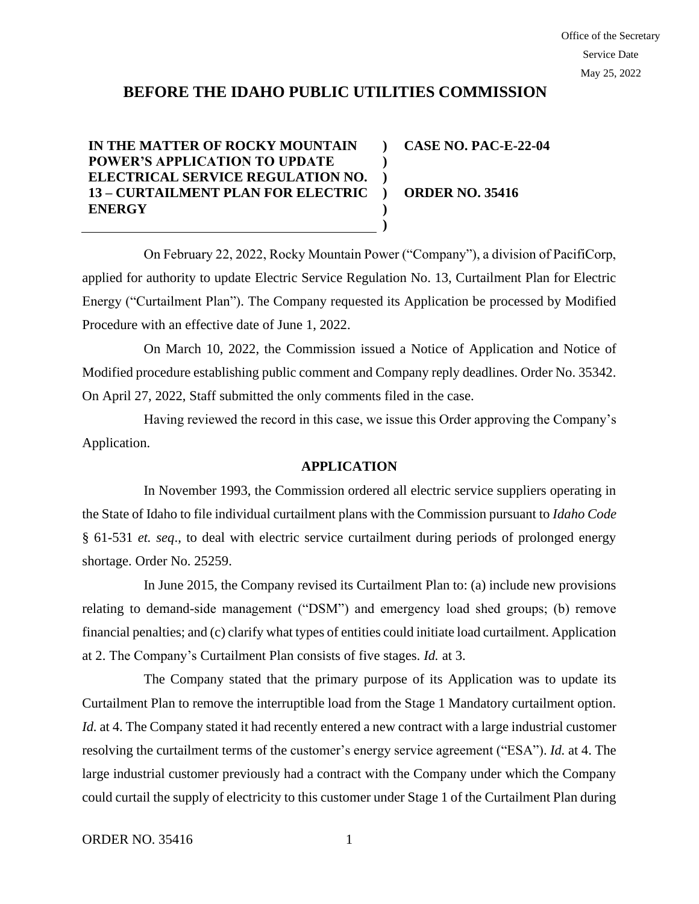# **BEFORE THE IDAHO PUBLIC UTILITIES COMMISSION**

#### **IN THE MATTER OF ROCKY MOUNTAIN POWER'S APPLICATION TO UPDATE ELECTRICAL SERVICE REGULATION NO. 13 – CURTAILMENT PLAN FOR ELECTRIC ENERGY ) ) ) ) ) ) CASE NO. PAC-E-22-04 ORDER NO. 35416**

On February 22, 2022, Rocky Mountain Power ("Company"), a division of PacifiCorp, applied for authority to update Electric Service Regulation No. 13, Curtailment Plan for Electric Energy ("Curtailment Plan"). The Company requested its Application be processed by Modified Procedure with an effective date of June 1, 2022.

On March 10, 2022, the Commission issued a Notice of Application and Notice of Modified procedure establishing public comment and Company reply deadlines. Order No. 35342. On April 27, 2022, Staff submitted the only comments filed in the case.

Having reviewed the record in this case, we issue this Order approving the Company's Application.

# **APPLICATION**

In November 1993, the Commission ordered all electric service suppliers operating in the State of Idaho to file individual curtailment plans with the Commission pursuant to *Idaho Code* § 61-531 *et. seq*., to deal with electric service curtailment during periods of prolonged energy shortage. Order No. 25259.

In June 2015, the Company revised its Curtailment Plan to: (a) include new provisions relating to demand-side management ("DSM") and emergency load shed groups; (b) remove financial penalties; and (c) clarify what types of entities could initiate load curtailment. Application at 2. The Company's Curtailment Plan consists of five stages. *Id.* at 3.

The Company stated that the primary purpose of its Application was to update its Curtailment Plan to remove the interruptible load from the Stage 1 Mandatory curtailment option. *Id.* at 4. The Company stated it had recently entered a new contract with a large industrial customer resolving the curtailment terms of the customer's energy service agreement ("ESA"). *Id.* at 4. The large industrial customer previously had a contract with the Company under which the Company could curtail the supply of electricity to this customer under Stage 1 of the Curtailment Plan during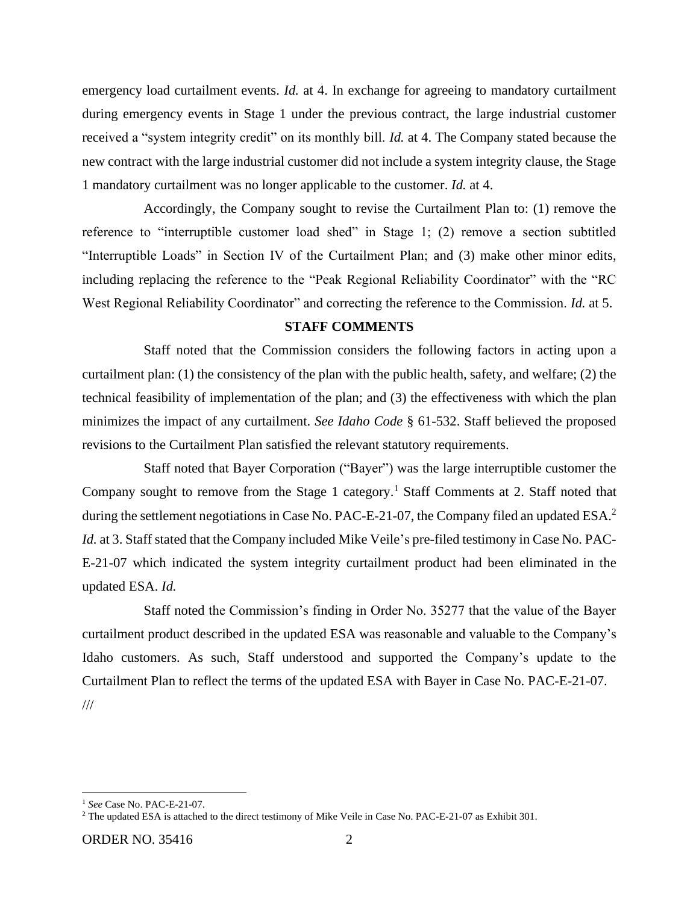emergency load curtailment events. *Id.* at 4. In exchange for agreeing to mandatory curtailment during emergency events in Stage 1 under the previous contract, the large industrial customer received a "system integrity credit" on its monthly bill. *Id.* at 4. The Company stated because the new contract with the large industrial customer did not include a system integrity clause, the Stage 1 mandatory curtailment was no longer applicable to the customer. *Id.* at 4.

Accordingly, the Company sought to revise the Curtailment Plan to: (1) remove the reference to "interruptible customer load shed" in Stage 1; (2) remove a section subtitled "Interruptible Loads" in Section IV of the Curtailment Plan; and (3) make other minor edits, including replacing the reference to the "Peak Regional Reliability Coordinator" with the "RC West Regional Reliability Coordinator" and correcting the reference to the Commission. *Id.* at 5.

# **STAFF COMMENTS**

Staff noted that the Commission considers the following factors in acting upon a curtailment plan: (1) the consistency of the plan with the public health, safety, and welfare; (2) the technical feasibility of implementation of the plan; and (3) the effectiveness with which the plan minimizes the impact of any curtailment. *See Idaho Code* § 61-532. Staff believed the proposed revisions to the Curtailment Plan satisfied the relevant statutory requirements.

Staff noted that Bayer Corporation ("Bayer") was the large interruptible customer the Company sought to remove from the Stage 1 category.<sup>1</sup> Staff Comments at 2. Staff noted that during the settlement negotiations in Case No. PAC-E-21-07, the Company filed an updated ESA.<sup>2</sup> *Id.* at 3. Staff stated that the Company included Mike Veile's pre-filed testimony in Case No. PAC-E-21-07 which indicated the system integrity curtailment product had been eliminated in the updated ESA. *Id.* 

Staff noted the Commission's finding in Order No. 35277 that the value of the Bayer curtailment product described in the updated ESA was reasonable and valuable to the Company's Idaho customers. As such, Staff understood and supported the Company's update to the Curtailment Plan to reflect the terms of the updated ESA with Bayer in Case No. PAC-E-21-07. ///

<sup>1</sup> *See* Case No. PAC-E-21-07.

<sup>2</sup> The updated ESA is attached to the direct testimony of Mike Veile in Case No. PAC-E-21-07 as Exhibit 301.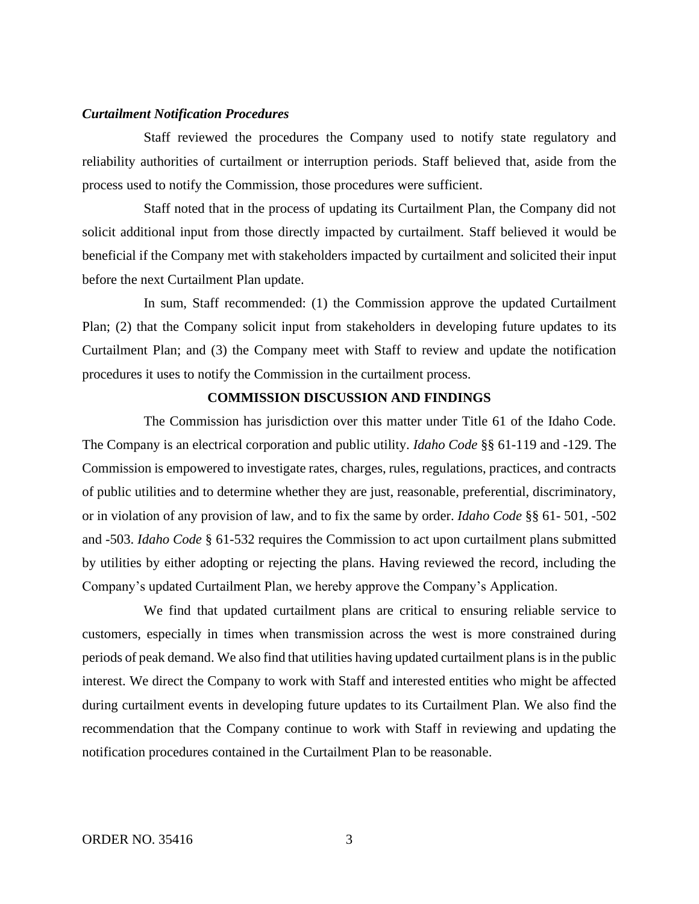### *Curtailment Notification Procedures*

Staff reviewed the procedures the Company used to notify state regulatory and reliability authorities of curtailment or interruption periods. Staff believed that, aside from the process used to notify the Commission, those procedures were sufficient.

Staff noted that in the process of updating its Curtailment Plan, the Company did not solicit additional input from those directly impacted by curtailment. Staff believed it would be beneficial if the Company met with stakeholders impacted by curtailment and solicited their input before the next Curtailment Plan update.

In sum, Staff recommended: (1) the Commission approve the updated Curtailment Plan; (2) that the Company solicit input from stakeholders in developing future updates to its Curtailment Plan; and (3) the Company meet with Staff to review and update the notification procedures it uses to notify the Commission in the curtailment process.

# **COMMISSION DISCUSSION AND FINDINGS**

The Commission has jurisdiction over this matter under Title 61 of the Idaho Code. The Company is an electrical corporation and public utility. *Idaho Code* §§ 61-119 and -129. The Commission is empowered to investigate rates, charges, rules, regulations, practices, and contracts of public utilities and to determine whether they are just, reasonable, preferential, discriminatory, or in violation of any provision of law, and to fix the same by order. *Idaho Code* §§ 61- 501, -502 and -503. *Idaho Code* § 61-532 requires the Commission to act upon curtailment plans submitted by utilities by either adopting or rejecting the plans. Having reviewed the record, including the Company's updated Curtailment Plan, we hereby approve the Company's Application.

We find that updated curtailment plans are critical to ensuring reliable service to customers, especially in times when transmission across the west is more constrained during periods of peak demand. We also find that utilities having updated curtailment plans is in the public interest. We direct the Company to work with Staff and interested entities who might be affected during curtailment events in developing future updates to its Curtailment Plan. We also find the recommendation that the Company continue to work with Staff in reviewing and updating the notification procedures contained in the Curtailment Plan to be reasonable.